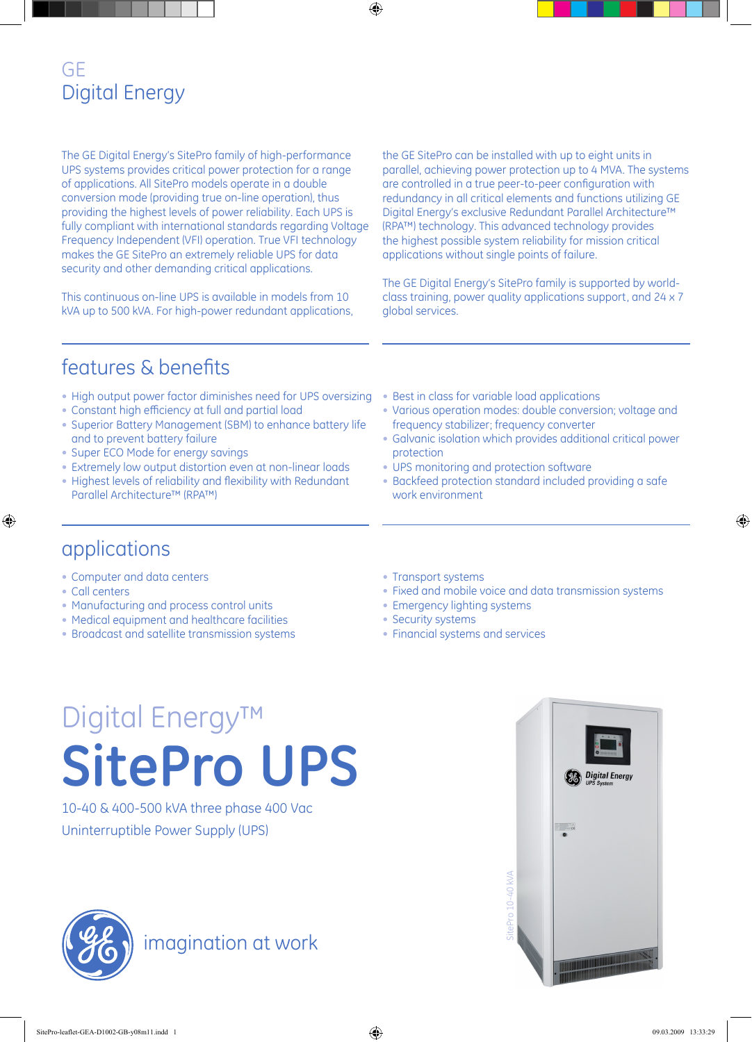#### GE Digital Energy

The GE Digital Energy's SitePro family of high-performance UPS systems provides critical power protection for a range of applications. All SitePro models operate in a double conversion mode (providing true on-line operation), thus providing the highest levels of power reliability. Each UPS is fully compliant with international standards regarding Voltage Frequency Independent (VFI) operation. True VFI technology makes the GE SitePro an extremely reliable UPS for data security and other demanding critical applications.

This continuous on-line UPS is available in models from 10 kVA up to 500 kVA. For high-power redundant applications, the GE SitePro can be installed with up to eight units in parallel, achieving power protection up to 4 MVA. The systems are controlled in a true peer-to-peer configuration with redundancy in all critical elements and functions utilizing GE Digital Energy's exclusive Redundant Parallel Architecture™ (RPA™) technology. This advanced technology provides the highest possible system reliability for mission critical applications without single points of failure.

The GE Digital Energy's SitePro family is supported by worldclass training, power quality applications support, and 24 x 7 global services.

### features & benefits

- High output power factor diminishes need for UPS oversizing
- Constant high efficiency at full and partial load
- Superior Battery Management (SBM) to enhance battery life and to prevent battery failure
- Super ECO Mode for energy savings
- Extremely low output distortion even at non-linear loads
- Highest levels of reliability and flexibility with Redundant Parallel Architecture™ (RPA™)
- Best in class for variable load applications
- Various operation modes: double conversion; voltage and frequency stabilizer; frequency converter
- Galvanic isolation which provides additional critical power protection
- UPS monitoring and protection software
- Backfeed protection standard included providing a safe work environment

#### applications

- Computer and data centers
- Call centers
- Manufacturing and process control units
- Medical equipment and healthcare facilities
- Broadcast and satellite transmission systems
- Transport systems
- Fixed and mobile voice and data transmission systems
- Emergency lighting systems
- Security systems
- Financial systems and services

# Digital Energy™ **SitePro UPS**

10-40 & 400-500 kVA three phase 400 Vac Uninterruptible Power Supply (UPS)